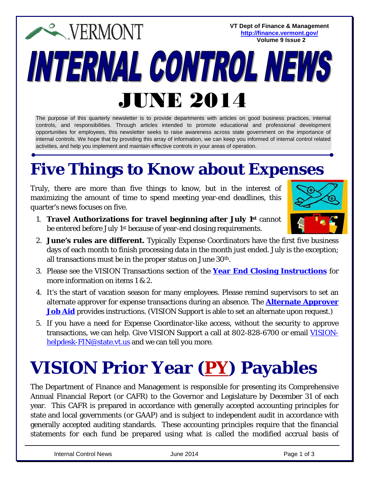**VT Dept of Finance & Management EXPERMONT <http://finance.vermont.gov/> Volume 9 Issue 2**INTERNAL CONTROL NEW JUNE 2014

The purpose of this quarterly newsletter is to provide departments with articles on good business practices, internal controls, and responsibilities. Through articles intended to promote educational and professional development opportunities for employees, this newsletter seeks to raise awareness across state government on the importance of internal controls. We hope that by providing this array of information, we can keep you informed of internal control related activities, and help you implement and maintain effective controls in your areas of operation.

## **Five Things to Know about Expenses**

Truly, there are more than five things to know, but in the interest of maximizing the amount of time to spend meeting year-end deadlines, this quarter's news focuses on five.

- 1. **Travel Authorizations for travel beginning after July 1st** cannot be entered before July 1st because of year-end closing requirements.
- 2. **June's rules are different.** Typically Expense Coordinators have the first five business days of each month to finish processing data in the month just ended. July is the exception; all transactions must be in the proper status on June  $30^{\rm th}$ .
- 3. Please see the VISION Transactions section of the **[Year End Closing Instructions](http://finance.vermont.gov/policies_procedures/vision_procedures#closing)** for more information on items 1 & 2.
- 4. It's the start of vacation season for many employees. Please remind supervisors to set an alternate approver for expense transactions during an absence. The **[Alternate Approver](http://finance.vermont.gov/training_ref/VISION_Manuals#T&E)  [Job Aid](http://finance.vermont.gov/training_ref/VISION_Manuals#T&E)** provides instructions. (VISION Support is able to set an alternate upon request.)
- 5. If you have a need for Expense Coordinator-like access, without the security to approve transactions, we can help. Give VISION Support a call at 802-828-6700 or email [VISION](mailto:VISION-helpdesk-FIN@state.vt.us)[helpdesk-FIN@state.vt.us](mailto:VISION-helpdesk-FIN@state.vt.us) and we can tell you more.

## **VISION Prior Year (PY ) Payables**

The Department of Finance and Management is responsible for presenting its Comprehensive Annual Financial Report (or CAFR) to the Governor and Legislature by December 31 of each year. This CAFR is prepared in accordance with generally accepted accounting principles for state and local governments (or GAAP) and is subject to independent audit in accordance with generally accepted auditing standards. These accounting principles require that the financial statements for each fund be prepared using what is called the modified accrual basis of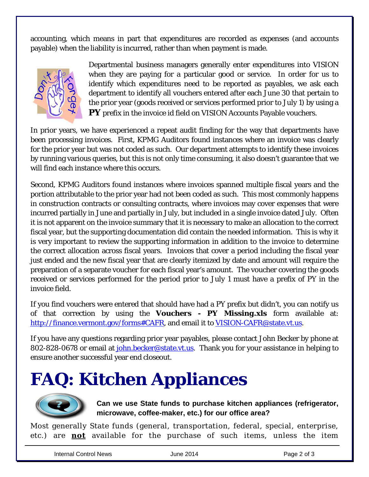accounting, which means in part that expenditures are recorded as expenses (and accounts payable) when the liability is incurred, rather than when payment is made.



Departmental business managers generally enter expenditures into VISION when they are paying for a particular good or service. In order for us to identify which expenditures need to be reported as payables, we ask each department to identify all vouchers entered after each June 30 that pertain to the prior year (goods received or services performed prior to July 1) by using a **PY** prefix in the invoice id field on VISION Accounts Payable vouchers.

In prior years, we have experienced a repeat audit finding for the way that departments have been processing invoices. First, KPMG Auditors found instances where an invoice was clearly for the prior year but was not coded as such. Our department attempts to identify these invoices by running various queries, but this is not only time consuming, it also doesn't guarantee that we will find each instance where this occurs.

Second, KPMG Auditors found instances where invoices spanned multiple fiscal years and the portion attributable to the prior year had not been coded as such. This most commonly happens in construction contracts or consulting contracts, where invoices may cover expenses that were incurred partially in June and partially in July, but included in a single invoice dated July. Often it is not apparent on the invoice summary that it is necessary to make an allocation to the correct fiscal year, but the supporting documentation did contain the needed information. This is why it is very important to review the supporting information in addition to the invoice to determine the correct allocation across fiscal years. Invoices that cover a period including the fiscal year just ended and the new fiscal year that are clearly itemized by date and amount will require the preparation of a separate voucher for each fiscal year's amount. The voucher covering the goods received or services performed for the period prior to July 1 must have a prefix of PY in the invoice field.

If you find vouchers were entered that should have had a PY prefix but didn't, you can notify us of that correction by using the *Vouchers - PY Missing.xls* form available at: [http://finance.vermont.gov/forms#CAFR,](http://finance.vermont.gov/forms#CAFR) and email it to [VISION-CAFR@state.vt.us.](mailto:VISION-CAFR@state.vt.us)

If you have any questions regarding prior year payables, please contact John Becker by phone at 802-828-0678 or email at [john.becker@state.vt.us.](mailto:john.becker@state.vt.us) Thank you for your assistance in helping to ensure another successful year end closeout.

# **FAQ: Kitchen Appliances**



**Can we use State funds to purchase kitchen appliances (refrigerator, microwave, coffee-maker, etc.) for our office area?**

Most generally State funds (general, transportation, federal, special, enterprise, etc.) are **not** available for the purchase of such items, unless the item